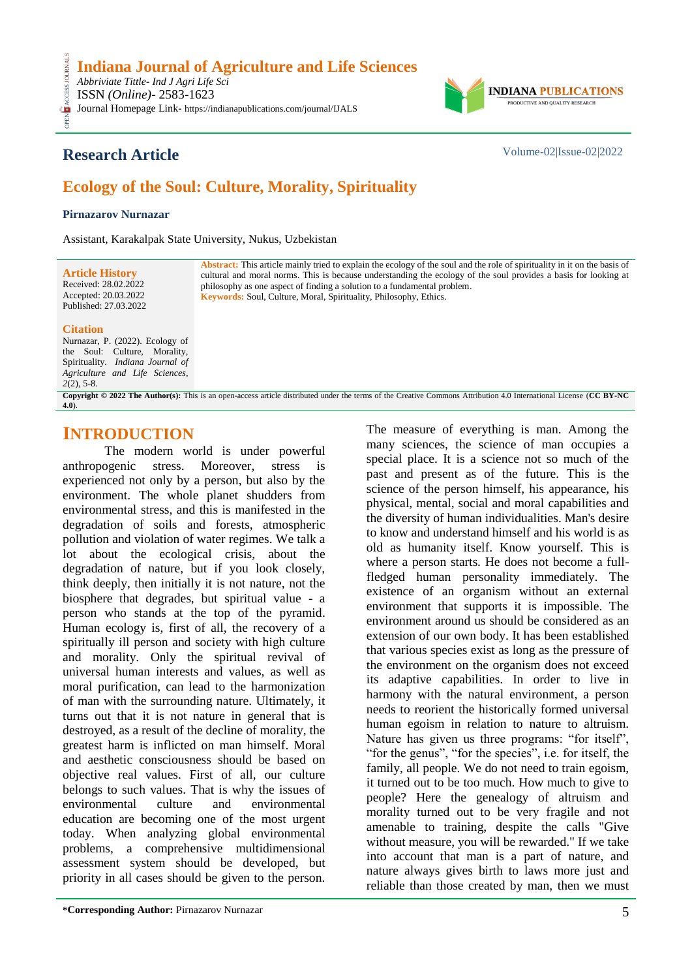Journal Homepage Link- https://indianapublications.com/journal/IJALS



## **Research Article** Volume-02|Issue-02|2022

**CESS** 

# **Ecology of the Soul: Culture, Morality, Spirituality**

### **Pirnazarov Nurnazar**

Assistant, Karakalpak State University, Nukus, Uzbekistan

| <b>Article History</b>                                                       | <b>Abstract:</b> This article mainly tried to explain the ecology of the soul and the role of spirituality in it on the basis of |
|------------------------------------------------------------------------------|----------------------------------------------------------------------------------------------------------------------------------|
| Received: 28.02.2022                                                         | cultural and moral norms. This is because understanding the ecology of the soul provides a basis for looking at                  |
| Accepted: 20.03.2022                                                         | philosophy as one aspect of finding a solution to a fundamental problem.                                                         |
| Published: 27.03.2022                                                        | <b>Keywords:</b> Soul, Culture, Moral, Spirituality, Philosophy, Ethics.                                                         |
| <b>Citation</b><br>$N_{\text{tum}-27.21}$ $\overline{D}$ $(2022)$ Exclose of |                                                                                                                                  |

#### Nurnazar, P. (2022). Ecology of the Soul: Culture, Morality, Spirituality. *Indiana Journal of Agriculture and Life Sciences,*

*2*(2), 5-8.

**Copyright © 2022 The Author(s):** This is an open-access article distributed under the terms of the Creative Commons Attribution 4.0 International License (**[CC BY-NC](https://creativecommons.org/licenses/by-nc/4.0/)  [4.0](https://creativecommons.org/licenses/by-nc/4.0/)**).

### **INTRODUCTION**

The modern world is under powerful anthropogenic stress. Moreover, stress is experienced not only by a person, but also by the environment. The whole planet shudders from environmental stress, and this is manifested in the degradation of soils and forests, atmospheric pollution and violation of water regimes. We talk a lot about the ecological crisis, about the degradation of nature, but if you look closely, think deeply, then initially it is not nature, not the biosphere that degrades, but spiritual value - a person who stands at the top of the pyramid. Human ecology is, first of all, the recovery of a spiritually ill person and society with high culture and morality. Only the spiritual revival of universal human interests and values, as well as moral purification, can lead to the harmonization of man with the surrounding nature. Ultimately, it turns out that it is not nature in general that is destroyed, as a result of the decline of morality, the greatest harm is inflicted on man himself. Moral and aesthetic consciousness should be based on objective real values. First of all, our culture belongs to such values. That is why the issues of environmental culture and environmental education are becoming one of the most urgent today. When analyzing global environmental problems, a comprehensive multidimensional assessment system should be developed, but priority in all cases should be given to the person.

past and present as of the future. This is the science of the person himself, his appearance, his physical, mental, social and moral capabilities and the diversity of human individualities. Man's desire to know and understand himself and his world is as old as humanity itself. Know yourself. This is where a person starts. He does not become a fullfledged human personality immediately. The existence of an organism without an external environment that supports it is impossible. The environment around us should be considered as an extension of our own body. It has been established that various species exist as long as the pressure of the environment on the organism does not exceed its adaptive capabilities. In order to live in harmony with the natural environment, a person needs to reorient the historically formed universal human egoism in relation to nature to altruism. Nature has given us three programs: "for itself", "for the genus", "for the species", i.e. for itself, the family, all people. We do not need to train egoism, it turned out to be too much. How much to give to people? Here the genealogy of altruism and morality turned out to be very fragile and not amenable to training, despite the calls "Give without measure, you will be rewarded." If we take into account that man is a part of nature, and nature always gives birth to laws more just and reliable than those created by man, then we must

The measure of everything is man. Among the many sciences, the science of man occupies a special place. It is a science not so much of the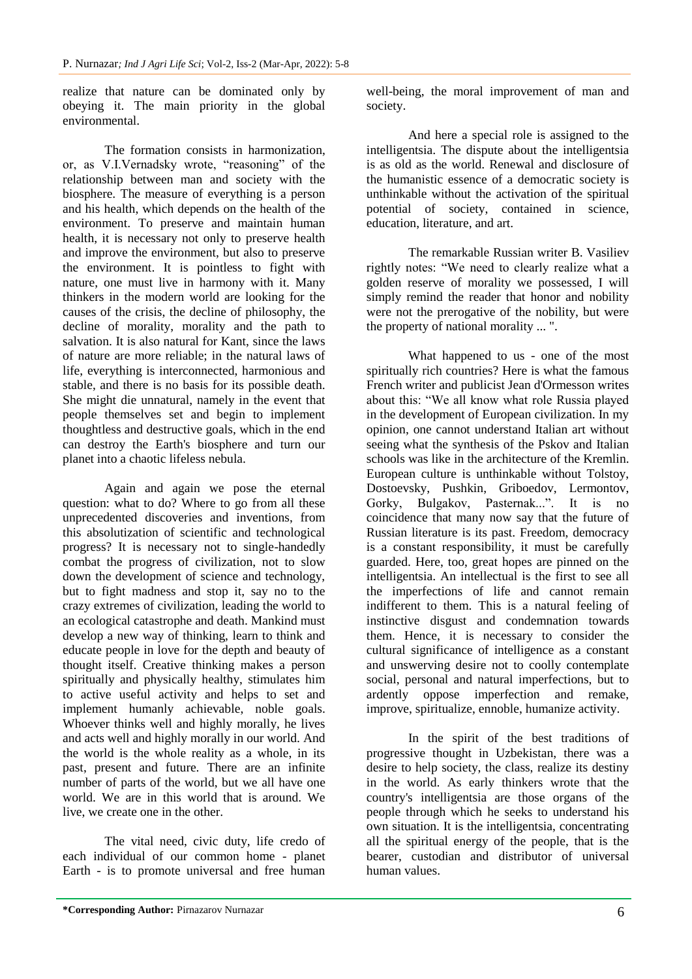realize that nature can be dominated only by obeying it. The main priority in the global environmental.

The formation consists in harmonization, or, as V.I.Vernadsky wrote, "reasoning" of the relationship between man and society with the biosphere. The measure of everything is a person and his health, which depends on the health of the environment. To preserve and maintain human health, it is necessary not only to preserve health and improve the environment, but also to preserve the environment. It is pointless to fight with nature, one must live in harmony with it. Many thinkers in the modern world are looking for the causes of the crisis, the decline of philosophy, the decline of morality, morality and the path to salvation. It is also natural for Kant, since the laws of nature are more reliable; in the natural laws of life, everything is interconnected, harmonious and stable, and there is no basis for its possible death. She might die unnatural, namely in the event that people themselves set and begin to implement thoughtless and destructive goals, which in the end can destroy the Earth's biosphere and turn our planet into a chaotic lifeless nebula.

Again and again we pose the eternal question: what to do? Where to go from all these unprecedented discoveries and inventions, from this absolutization of scientific and technological progress? It is necessary not to single-handedly combat the progress of civilization, not to slow down the development of science and technology, but to fight madness and stop it, say no to the crazy extremes of civilization, leading the world to an ecological catastrophe and death. Mankind must develop a new way of thinking, learn to think and educate people in love for the depth and beauty of thought itself. Creative thinking makes a person spiritually and physically healthy, stimulates him to active useful activity and helps to set and implement humanly achievable, noble goals. Whoever thinks well and highly morally, he lives and acts well and highly morally in our world. And the world is the whole reality as a whole, in its past, present and future. There are an infinite number of parts of the world, but we all have one world. We are in this world that is around. We live, we create one in the other.

The vital need, civic duty, life credo of each individual of our common home - planet Earth - is to promote universal and free human well-being, the moral improvement of man and society.

And here a special role is assigned to the intelligentsia. The dispute about the intelligentsia is as old as the world. Renewal and disclosure of the humanistic essence of a democratic society is unthinkable without the activation of the spiritual potential of society, contained in science, education, literature, and art.

The remarkable Russian writer B. Vasiliev rightly notes: "We need to clearly realize what a golden reserve of morality we possessed, I will simply remind the reader that honor and nobility were not the prerogative of the nobility, but were the property of national morality ... ".

What happened to us - one of the most spiritually rich countries? Here is what the famous French writer and publicist Jean d'Ormesson writes about this: "We all know what role Russia played in the development of European civilization. In my opinion, one cannot understand Italian art without seeing what the synthesis of the Pskov and Italian schools was like in the architecture of the Kremlin. European culture is unthinkable without Tolstoy, Dostoevsky, Pushkin, Griboedov, Lermontov, Gorky, Bulgakov, Pasternak...". It is no coincidence that many now say that the future of Russian literature is its past. Freedom, democracy is a constant responsibility, it must be carefully guarded. Here, too, great hopes are pinned on the intelligentsia. An intellectual is the first to see all the imperfections of life and cannot remain indifferent to them. This is a natural feeling of instinctive disgust and condemnation towards them. Hence, it is necessary to consider the cultural significance of intelligence as a constant and unswerving desire not to coolly contemplate social, personal and natural imperfections, but to ardently oppose imperfection and remake, improve, spiritualize, ennoble, humanize activity.

In the spirit of the best traditions of progressive thought in Uzbekistan, there was a desire to help society, the class, realize its destiny in the world. As early thinkers wrote that the country's intelligentsia are those organs of the people through which he seeks to understand his own situation. It is the intelligentsia, concentrating all the spiritual energy of the people, that is the bearer, custodian and distributor of universal human values.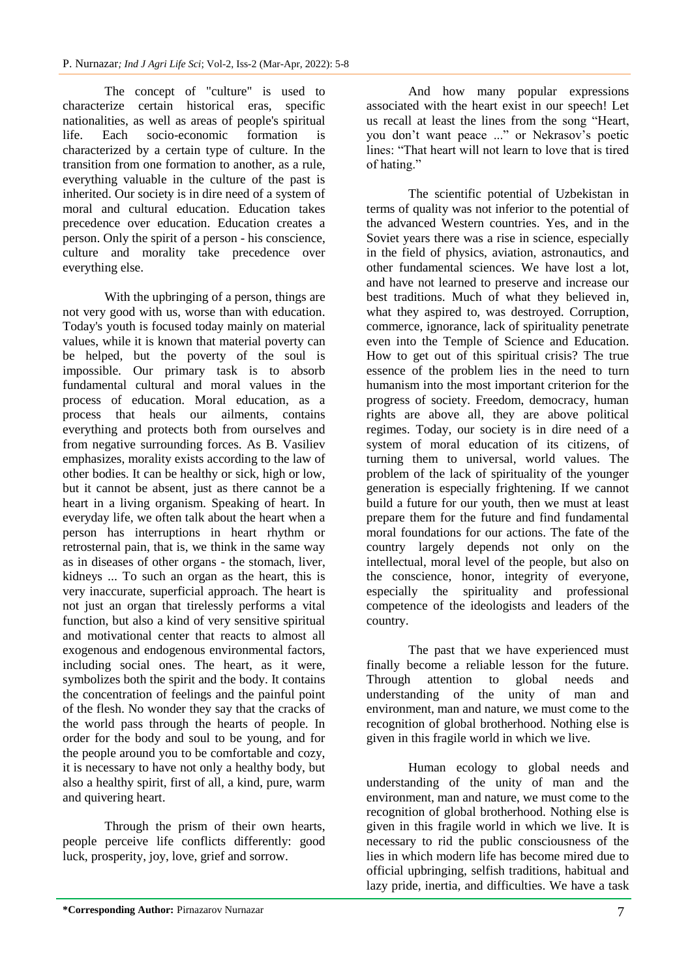The concept of "culture" is used to characterize certain historical eras, specific nationalities, as well as areas of people's spiritual life. Each socio-economic formation is characterized by a certain type of culture. In the transition from one formation to another, as a rule, everything valuable in the culture of the past is inherited. Our society is in dire need of a system of moral and cultural education. Education takes precedence over education. Education creates a person. Only the spirit of a person - his conscience, culture and morality take precedence over everything else.

With the upbringing of a person, things are not very good with us, worse than with education. Today's youth is focused today mainly on material values, while it is known that material poverty can be helped, but the poverty of the soul is impossible. Our primary task is to absorb fundamental cultural and moral values in the process of education. Moral education, as a process that heals our ailments, contains everything and protects both from ourselves and from negative surrounding forces. As B. Vasiliev emphasizes, morality exists according to the law of other bodies. It can be healthy or sick, high or low, but it cannot be absent, just as there cannot be a heart in a living organism. Speaking of heart. In everyday life, we often talk about the heart when a person has interruptions in heart rhythm or retrosternal pain, that is, we think in the same way as in diseases of other organs - the stomach, liver, kidneys ... To such an organ as the heart, this is very inaccurate, superficial approach. The heart is not just an organ that tirelessly performs a vital function, but also a kind of very sensitive spiritual and motivational center that reacts to almost all exogenous and endogenous environmental factors, including social ones. The heart, as it were, symbolizes both the spirit and the body. It contains the concentration of feelings and the painful point of the flesh. No wonder they say that the cracks of the world pass through the hearts of people. In order for the body and soul to be young, and for the people around you to be comfortable and cozy, it is necessary to have not only a healthy body, but also a healthy spirit, first of all, a kind, pure, warm and quivering heart.

Through the prism of their own hearts, people perceive life conflicts differently: good luck, prosperity, joy, love, grief and sorrow.

And how many popular expressions associated with the heart exist in our speech! Let us recall at least the lines from the song "Heart, you don't want peace ..." or Nekrasov's poetic lines: "That heart will not learn to love that is tired of hating."

The scientific potential of Uzbekistan in terms of quality was not inferior to the potential of the advanced Western countries. Yes, and in the Soviet years there was a rise in science, especially in the field of physics, aviation, astronautics, and other fundamental sciences. We have lost a lot, and have not learned to preserve and increase our best traditions. Much of what they believed in, what they aspired to, was destroyed. Corruption, commerce, ignorance, lack of spirituality penetrate even into the Temple of Science and Education. How to get out of this spiritual crisis? The true essence of the problem lies in the need to turn humanism into the most important criterion for the progress of society. Freedom, democracy, human rights are above all, they are above political regimes. Today, our society is in dire need of a system of moral education of its citizens, of turning them to universal, world values. The problem of the lack of spirituality of the younger generation is especially frightening. If we cannot build a future for our youth, then we must at least prepare them for the future and find fundamental moral foundations for our actions. The fate of the country largely depends not only on the intellectual, moral level of the people, but also on the conscience, honor, integrity of everyone, especially the spirituality and professional competence of the ideologists and leaders of the country.

The past that we have experienced must finally become a reliable lesson for the future. Through attention to global needs and understanding of the unity of man and environment, man and nature, we must come to the recognition of global brotherhood. Nothing else is given in this fragile world in which we live.

Human ecology to global needs and understanding of the unity of man and the environment, man and nature, we must come to the recognition of global brotherhood. Nothing else is given in this fragile world in which we live. It is necessary to rid the public consciousness of the lies in which modern life has become mired due to official upbringing, selfish traditions, habitual and lazy pride, inertia, and difficulties. We have a task

**<sup>\*</sup>Corresponding Author:** Pirnazarov Nurnazar 7